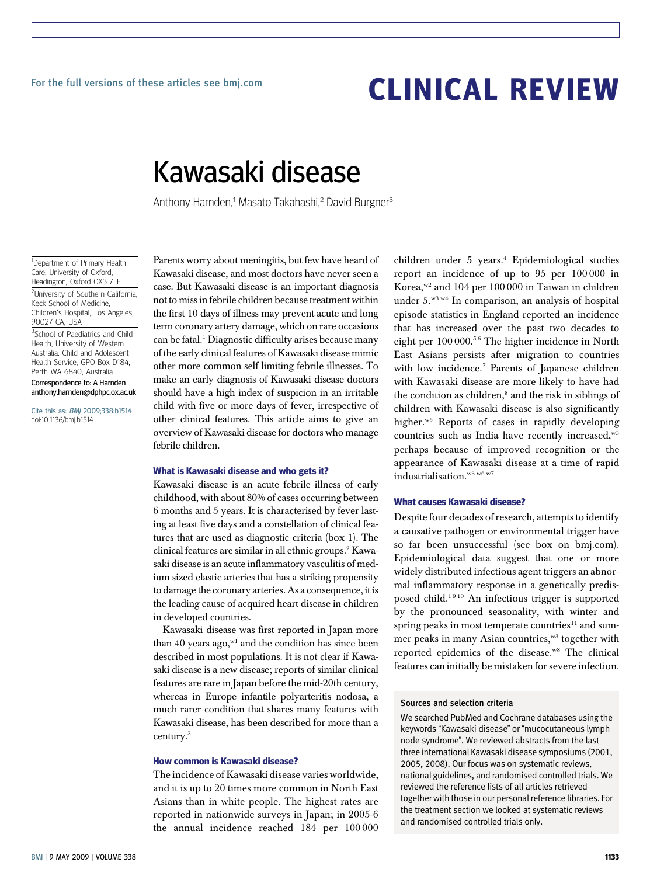# CLINICAL REVIEW

# Kawasaki disease

Anthony Harnden,<sup>1</sup> Masato Takahashi,<sup>2</sup> David Burgner<sup>3</sup>

<sup>1</sup>Department of Primary Health Care, University of Oxford, Headington, Oxford OX3 7LF <sup>2</sup>University of Southern California, Keck School of Medicine, Children's Hospital, Los Angeles, 90027 CA, USA

<sup>3</sup>School of Paediatrics and Child Health, University of Western Australia, Child and Adolescent Health Service, GPO Box D184, Perth WA 6840, Australia Correspondence to: A Harnden

anthony.harnden@dphpc.ox.ac.uk

Cite this as: BMJ 2009;338:b1514 doi:10.1136/bmj.b1514

Parents worry about meningitis, but few have heard of Kawasaki disease, and most doctors have never seen a case. But Kawasaki disease is an important diagnosis not to miss in febrile children because treatment within the first 10 days of illness may prevent acute and long term coronary artery damage, which on rare occasions can be fatal.<sup>1</sup> Diagnostic difficulty arises because many of the early clinical features of Kawasaki disease mimic other more common self limiting febrile illnesses. To make an early diagnosis of Kawasaki disease doctors should have a high index of suspicion in an irritable child with five or more days of fever, irrespective of other clinical features. This article aims to give an overview of Kawasaki disease for doctors who manage febrile children.

# What is Kawasaki disease and who gets it?

Kawasaki disease is an acute febrile illness of early childhood, with about 80% of cases occurring between 6 months and 5 years. It is characterised by fever lasting at least five days and a constellation of clinical features that are used as diagnostic criteria (box 1). The clinical features are similar in all ethnic groups.2 Kawasaki disease is an acute inflammatory vasculitis of medium sized elastic arteries that has a striking propensity to damage the coronary arteries. As a consequence, it is the leading cause of acquired heart disease in children in developed countries.

Kawasaki disease was first reported in Japan more than 40 years ago, $w<sup>1</sup>$  and the condition has since been described in most populations. It is not clear if Kawasaki disease is a new disease; reports of similar clinical features are rare in Japan before the mid-20th century, whereas in Europe infantile polyarteritis nodosa, a much rarer condition that shares many features with Kawasaki disease, has been described for more than a century.3

#### How common is Kawasaki disease?

The incidence of Kawasaki disease varies worldwide, and it is up to 20 times more common in North East Asians than in white people. The highest rates are reported in nationwide surveys in Japan; in 2005-6 the annual incidence reached 184 per 100 000

children under 5 years.<sup>4</sup> Epidemiological studies report an incidence of up to 95 per 100 000 in Korea, $w^2$  and 104 per 100 000 in Taiwan in children under  $5.^{w3 w4}$  In comparison, an analysis of hospital episode statistics in England reported an incidence that has increased over the past two decades to eight per 100 000.<sup>56</sup> The higher incidence in North East Asians persists after migration to countries with low incidence.<sup>7</sup> Parents of Japanese children with Kawasaki disease are more likely to have had the condition as children,<sup>8</sup> and the risk in siblings of children with Kawasaki disease is also significantly higher.<sup>w5</sup> Reports of cases in rapidly developing countries such as India have recently increased, $^{w3}$ perhaps because of improved recognition or the appearance of Kawasaki disease at a time of rapid industrialisation. $^{w3 \text{ w6 w7}}$ 

# What causes Kawasaki disease?

Despite four decades of research, attempts to identify a causative pathogen or environmental trigger have so far been unsuccessful (see box on bmj.com). Epidemiological data suggest that one or more widely distributed infectious agent triggers an abnormal inflammatory response in a genetically predisposed child.<sup>1910</sup> An infectious trigger is supported by the pronounced seasonality, with winter and spring peaks in most temperate countries<sup>11</sup> and summer peaks in many Asian countries,<sup>w3</sup> together with reported epidemics of the disease.<sup>w8</sup> The clinical features can initially be mistaken for severe infection.

# Sources and selection criteria

We searched PubMed and Cochrane databases using the keywords "Kawasaki disease" or "mucocutaneous lymph node syndrome". We reviewed abstracts from the last three international Kawasaki disease symposiums (2001, 2005, 2008). Our focus was on systematic reviews, national guidelines, and randomised controlled trials. We reviewed the reference lists of all articles retrieved together with those in our personal reference libraries. For the treatment section we looked at systematic reviews and randomised controlled trials only.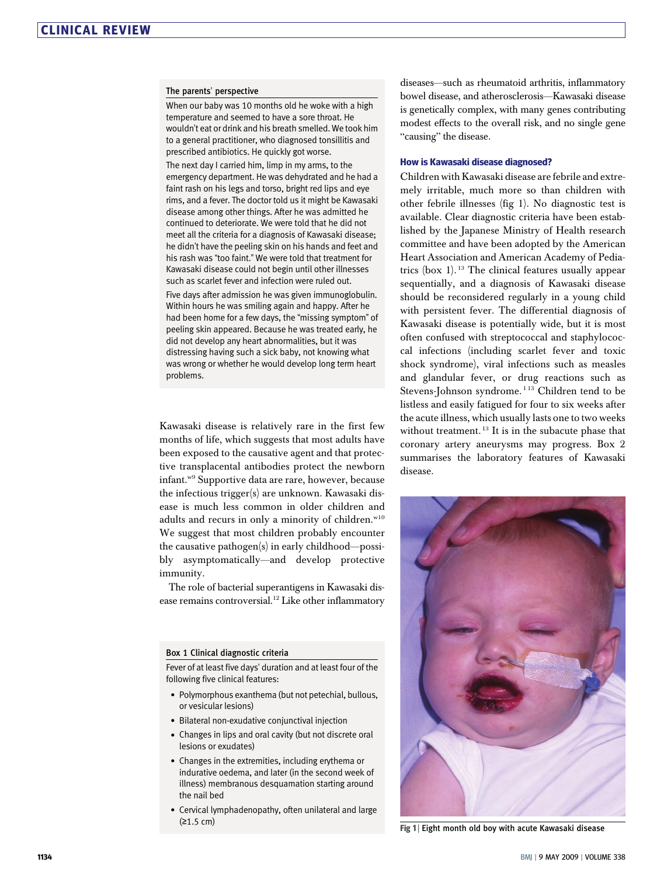#### The parents' perspective

When our baby was 10 months old he woke with a high temperature and seemed to have a sore throat. He wouldn't eat or drink and his breath smelled. We took him to a general practitioner, who diagnosed tonsillitis and prescribed antibiotics. He quickly got worse.

The next day I carried him, limp in my arms, to the emergency department. He was dehydrated and he had a faint rash on his legs and torso, bright red lips and eye rims, and a fever. The doctor told us it might be Kawasaki disease among other things. After he was admitted he continued to deteriorate. We were told that he did not meet all the criteria for a diagnosis of Kawasaki disease; he didn't have the peeling skin on his hands and feet and his rash was "too faint." We were told that treatment for Kawasaki disease could not begin until other illnesses such as scarlet fever and infection were ruled out. Five days after admission he was given immunoglobulin. Within hours he was smiling again and happy. After he had been home for a few days, the "missing symptom" of peeling skin appeared. Because he was treated early, he did not develop any heart abnormalities, but it was distressing having such a sick baby, not knowing what was wrong or whether he would develop long term heart problems.

Kawasaki disease is relatively rare in the first few months of life, which suggests that most adults have been exposed to the causative agent and that protective transplacental antibodies protect the newborn infant.w9 Supportive data are rare, however, because the infectious trigger(s) are unknown. Kawasaki disease is much less common in older children and adults and recurs in only a minority of children.<sup>w10</sup> We suggest that most children probably encounter the causative pathogen(s) in early childhood—possibly asymptomatically—and develop protective immunity.

The role of bacterial superantigens in Kawasaki disease remains controversial.<sup>12</sup> Like other inflammatory

# Box 1 Clinical diagnostic criteria

Fever of at least five days' duration and at least four of the following five clinical features:

- Polymorphous exanthema (but not petechial, bullous, or vesicular lesions)
- Bilateral non-exudative conjunctival injection
- Changes in lips and oral cavity (but not discrete oral lesions or exudates)
- Changes in the extremities, including erythema or indurative oedema, and later (in the second week of illness) membranous desquamation starting around the nail bed
- Cervical lymphadenopathy, often unilateral and large (≥1.5 cm)

diseases—such as rheumatoid arthritis, inflammatory bowel disease, and atherosclerosis—Kawasaki disease is genetically complex, with many genes contributing modest effects to the overall risk, and no single gene "causing" the disease.

# How is Kawasaki disease diagnosed?

Children with Kawasaki disease are febrile and extremely irritable, much more so than children with other febrile illnesses (fig 1). No diagnostic test is available. Clear diagnostic criteria have been established by the Japanese Ministry of Health research committee and have been adopted by the American Heart Association and American Academy of Pediatrics (box 1). <sup>13</sup> The clinical features usually appear sequentially, and a diagnosis of Kawasaki disease should be reconsidered regularly in a young child with persistent fever. The differential diagnosis of Kawasaki disease is potentially wide, but it is most often confused with streptococcal and staphylococcal infections (including scarlet fever and toxic shock syndrome), viral infections such as measles and glandular fever, or drug reactions such as Stevens-Johnson syndrome.<sup>113</sup> Children tend to be listless and easily fatigued for four to six weeks after the acute illness, which usually lasts one to two weeks without treatment. <sup>13</sup> It is in the subacute phase that coronary artery aneurysms may progress. Box 2 summarises the laboratory features of Kawasaki disease.



Fig 1 | Eight month old boy with acute Kawasaki disease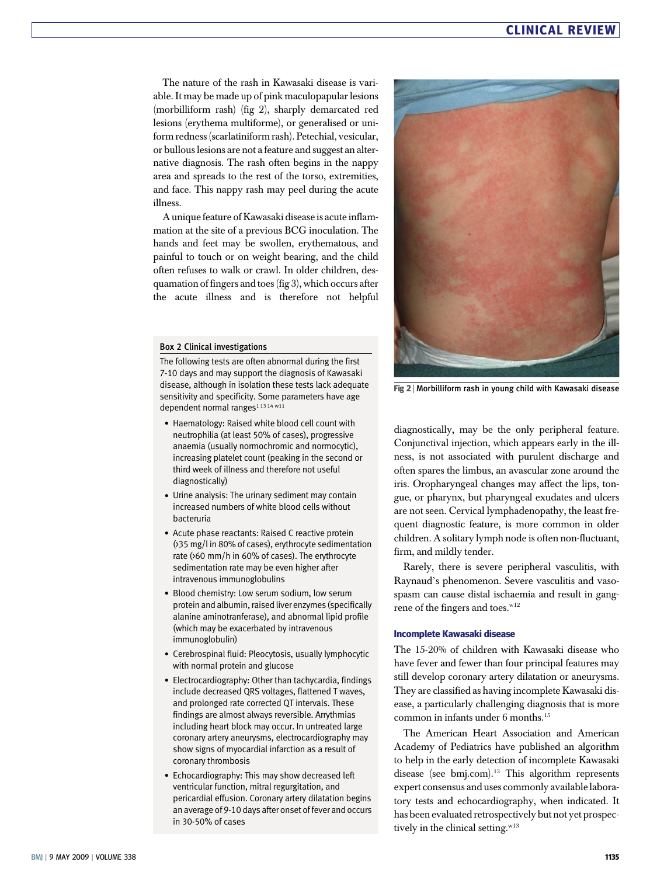The nature of the rash in Kawasaki disease is variable. It may be made up of pink maculopapular lesions (morbilliform rash) (fig 2), sharply demarcated red lesions (erythema multiforme), or generalised or uniform redness (scarlatiniform rash). Petechial, vesicular, or bullous lesions are not a feature and suggest an alternative diagnosis. The rash often begins in the nappy area and spreads to the rest of the torso, extremities, and face. This nappy rash may peel during the acute illness.

A unique feature of Kawasaki disease is acute inflammation at the site of a previous BCG inoculation. The hands and feet may be swollen, erythematous, and painful to touch or on weight bearing, and the child often refuses to walk or crawl. In older children, desquamation of fingers and toes (fig 3), which occurs after the acute illness and is therefore not helpful

# Box 2 Clinical investigations

The following tests are often abnormal during the first 7-10 days and may support the diagnosis of Kawasaki disease, although in isolation these tests lack adequate sensitivity and specificity. Some parameters have age dependent normal ranges<sup>11314 w11</sup>

- Haematology: Raised white blood cell count with neutrophilia (at least 50% of cases), progressive anaemia (usually normochromic and normocytic), increasing platelet count (peaking in the second or third week of illness and therefore not useful diagnostically)
- Urine analysis: The urinary sediment may contain increased numbers of white blood cells without bacteruria
- Acute phase reactants: Raised C reactive protein (>35 mg/l in 80% of cases), erythrocyte sedimentation rate (>60 mm/h in 60% of cases). The erythrocyte sedimentation rate may be even higher after intravenous immunoglobulins
- Blood chemistry: Low serum sodium, low serum protein and albumin, raised liver enzymes (specifically alanine aminotranferase), and abnormal lipid profile (which may be exacerbated by intravenous immunoglobulin)
- Cerebrospinal fluid: Pleocytosis, usually lymphocytic with normal protein and glucose
- Electrocardiography: Other than tachycardia, findings include decreased QRS voltages, flattened T waves, and prolonged rate corrected QT intervals. These findings are almost always reversible. Arrythmias including heart block may occur. In untreated large coronary artery aneurysms, electrocardiography may show signs of myocardial infarction as a result of coronary thrombosis
- Echocardiography: This may show decreased left ventricular function, mitral regurgitation, and pericardial effusion. Coronary artery dilatation begins an average of 9-10 days after onset of fever and occurs in 30-50% of cases



Fig 2 <sup>|</sup> Morbilliform rash in young child with Kawasaki disease

diagnostically, may be the only peripheral feature. Conjunctival injection, which appears early in the illness, is not associated with purulent discharge and often spares the limbus, an avascular zone around the iris. Oropharyngeal changes may affect the lips, tongue, or pharynx, but pharyngeal exudates and ulcers are not seen. Cervical lymphadenopathy, the least frequent diagnostic feature, is more common in older children. A solitary lymph node is often non-fluctuant, firm, and mildly tender.

Rarely, there is severe peripheral vasculitis, with Raynaud's phenomenon. Severe vasculitis and vasospasm can cause distal ischaemia and result in gangrene of the fingers and toes.<sup>w12</sup>

# Incomplete Kawasaki disease

The 15-20% of children with Kawasaki disease who have fever and fewer than four principal features may still develop coronary artery dilatation or aneurysms. They are classified as having incomplete Kawasaki disease, a particularly challenging diagnosis that is more common in infants under 6 months.15

The American Heart Association and American Academy of Pediatrics have published an algorithm to help in the early detection of incomplete Kawasaki disease (see bmj.com).13 This algorithm represents expert consensus and uses commonly available laboratory tests and echocardiography, when indicated. It has been evaluated retrospectively but not yet prospectively in the clinical setting.<sup>w13</sup>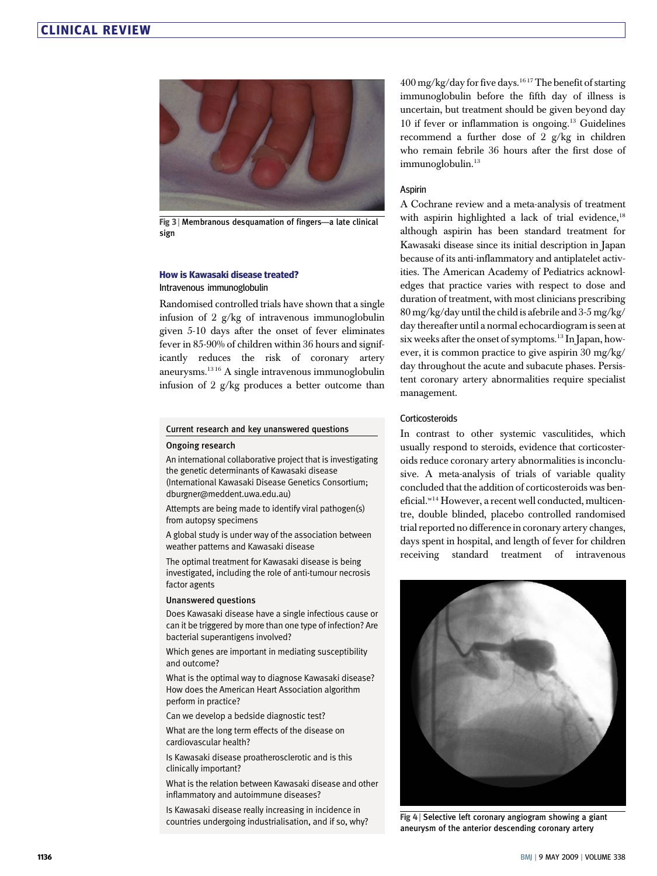

Fig 3 <sup>|</sup> Membranous desquamation of fingers—a late clinical sign

# How is Kawasaki disease treated? Intravenous immunoglobulin

Randomised controlled trials have shown that a single infusion of 2 g/kg of intravenous immunoglobulin given 5-10 days after the onset of fever eliminates fever in 85-90% of children within 36 hours and significantly reduces the risk of coronary artery aneurysms.13 16 A single intravenous immunoglobulin infusion of 2 g/kg produces a better outcome than

#### Current research and key unanswered questions

#### Ongoing research

An international collaborative project that is investigating the genetic determinants of Kawasaki disease (International Kawasaki Disease Genetics Consortium; dburgner@meddent.uwa.edu.au)

Attempts are being made to identify viral pathogen(s) from autopsy specimens

A global study is under way of the association between weather patterns and Kawasaki disease

The optimal treatment for Kawasaki disease is being investigated, including the role of anti-tumour necrosis factor agents

# Unanswered questions

Does Kawasaki disease have a single infectious cause or can it be triggered by more than one type of infection? Are bacterial superantigens involved?

Which genes are important in mediating susceptibility and outcome?

What is the optimal way to diagnose Kawasaki disease? How does the American Heart Association algorithm perform in practice?

Can we develop a bedside diagnostic test?

What are the long term effects of the disease on cardiovascular health?

Is Kawasaki disease proatherosclerotic and is this clinically important?

What is the relation between Kawasaki disease and other inflammatory and autoimmune diseases?

Is Kawasaki disease really increasing in incidence in countries undergoing industrialisation, and if so, why?  $400 \,\text{mg/kg/day}$  for five days.<sup>16 17</sup> The benefit of starting immunoglobulin before the fifth day of illness is uncertain, but treatment should be given beyond day 10 if fever or inflammation is ongoing.13 Guidelines recommend a further dose of 2 g/kg in children who remain febrile 36 hours after the first dose of immunoglobulin.<sup>13</sup>

# Aspirin

A Cochrane review and a meta-analysis of treatment with aspirin highlighted a lack of trial evidence,<sup>18</sup> although aspirin has been standard treatment for Kawasaki disease since its initial description in Japan because of its anti-inflammatory and antiplatelet activities. The American Academy of Pediatrics acknowledges that practice varies with respect to dose and duration of treatment, with most clinicians prescribing 80 mg/kg/day until the child is afebrile and 3-5 mg/kg/ day thereafter until a normal echocardiogram is seen at six weeks after the onset of symptoms.<sup>13</sup> In Japan, however, it is common practice to give aspirin 30 mg/kg/ day throughout the acute and subacute phases. Persistent coronary artery abnormalities require specialist management.

# Corticosteroids

In contrast to other systemic vasculitides, which usually respond to steroids, evidence that corticosteroids reduce coronary artery abnormalities is inconclusive. A meta-analysis of trials of variable quality concluded that the addition of corticosteroids was beneficial.<sup>w14</sup> However, a recent well conducted, multicentre, double blinded, placebo controlled randomised trial reported no difference in coronary artery changes, days spent in hospital, and length of fever for children receiving standard treatment of intravenous



Fig 4 <sup>|</sup> Selective left coronary angiogram showing a giant aneurysm of the anterior descending coronary artery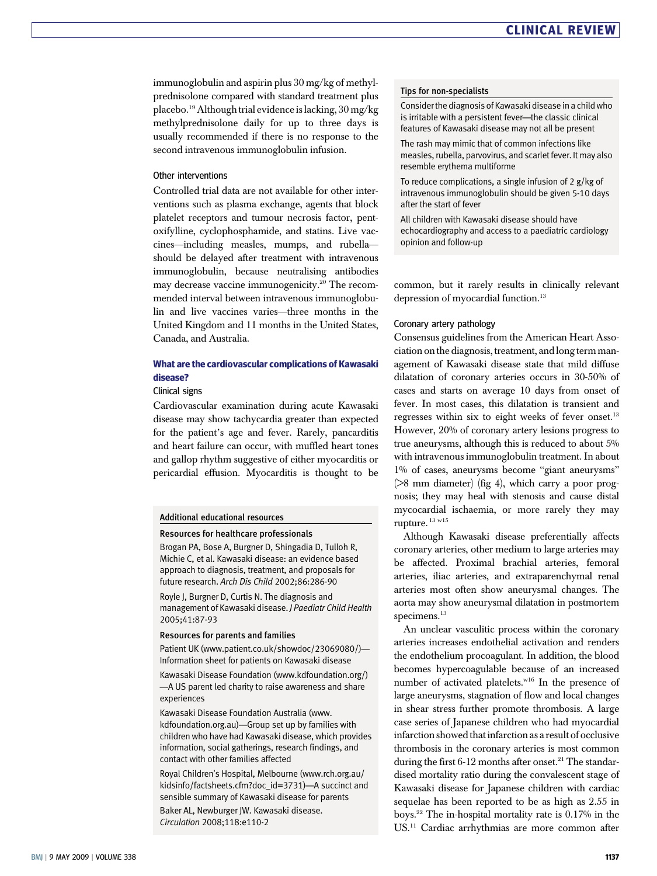immunoglobulin and aspirin plus 30 mg/kg of methylprednisolone compared with standard treatment plus placebo.<sup>19</sup> Although trial evidence is lacking,  $30 \,\text{mg/kg}$ methylprednisolone daily for up to three days is usually recommended if there is no response to the second intravenous immunoglobulin infusion.

# Other interventions

Controlled trial data are not available for other interventions such as plasma exchange, agents that block platelet receptors and tumour necrosis factor, pentoxifylline, cyclophosphamide, and statins. Live vaccines—including measles, mumps, and rubella should be delayed after treatment with intravenous immunoglobulin, because neutralising antibodies may decrease vaccine immunogenicity.<sup>20</sup> The recommended interval between intravenous immunoglobulin and live vaccines varies—three months in the United Kingdom and 11 months in the United States, Canada, and Australia.

# What are the cardiovascular complications of Kawasaki disease?

# Clinical signs

Cardiovascular examination during acute Kawasaki disease may show tachycardia greater than expected for the patient's age and fever. Rarely, pancarditis and heart failure can occur, with muffled heart tones and gallop rhythm suggestive of either myocarditis or pericardial effusion. Myocarditis is thought to be

# Additional educational resources

#### Resources for healthcare professionals

Brogan PA, Bose A, Burgner D, Shingadia D, Tulloh R, Michie C, et al. Kawasaki disease: an evidence based approach to diagnosis, treatment, and proposals for future research. Arch Dis Child 2002;86:286-90

Royle J, Burgner D, Curtis N. The diagnosis and management of Kawasaki disease. J Paediatr Child Health 2005;41:87-93

#### Resources for parents and families

Patient UK (www.patient.co.uk/showdoc/23069080/)— Information sheet for patients on Kawasaki disease

Kawasaki Disease Foundation (www.kdfoundation.org/) —A US parent led charity to raise awareness and share experiences

Kawasaki Disease Foundation Australia (www. kdfoundation.org.au)—Group set up by families with children who have had Kawasaki disease, which provides information, social gatherings, research findings, and contact with other families affected

Royal Children's Hospital, Melbourne (www.rch.org.au/ kidsinfo/factsheets.cfm?doc\_id=3731)—A succinct and sensible summary of Kawasaki disease for parents Baker AL, Newburger JW. Kawasaki disease. Circulation 2008;118:e110-2

# Tips for non-specialists

Consider the diagnosis of Kawasaki disease in a childwho is irritable with a persistent fever—the classic clinical features of Kawasaki disease may not all be present

The rash may mimic that of common infections like measles, rubella, parvovirus, and scarletfever. It may also resemble erythema multiforme

To reduce complications, a single infusion of 2 g/kg of intravenous immunoglobulin should be given 5-10 days after the start of fever

All children with Kawasaki disease should have echocardiography and access to a paediatric cardiology opinion and follow-up

common, but it rarely results in clinically relevant depression of myocardial function.<sup>13</sup>

# Coronary artery pathology

Consensus guidelines from the American Heart Association on the diagnosis, treatment, and long term management of Kawasaki disease state that mild diffuse dilatation of coronary arteries occurs in 30-50% of cases and starts on average 10 days from onset of fever. In most cases, this dilatation is transient and regresses within six to eight weeks of fever onset.<sup>13</sup> However, 20% of coronary artery lesions progress to true aneurysms, although this is reduced to about 5% with intravenous immunoglobulin treatment. In about 1% of cases, aneurysms become "giant aneurysms"  $($  $>$ 8 mm diameter) (fig 4), which carry a poor prognosis; they may heal with stenosis and cause distal mycocardial ischaemia, or more rarely they may rupture.<sup>13 w15</sup>

Although Kawasaki disease preferentially affects coronary arteries, other medium to large arteries may be affected. Proximal brachial arteries, femoral arteries, iliac arteries, and extraparenchymal renal arteries most often show aneurysmal changes. The aorta may show aneurysmal dilatation in postmortem specimens.<sup>13</sup>

An unclear vasculitic process within the coronary arteries increases endothelial activation and renders the endothelium procoagulant. In addition, the blood becomes hypercoagulable because of an increased number of activated platelets.<sup>w16</sup> In the presence of large aneurysms, stagnation of flow and local changes in shear stress further promote thrombosis. A large case series of Japanese children who had myocardial infarction showed that infarction as a result of occlusive thrombosis in the coronary arteries is most common during the first  $6-12$  months after onset.<sup>21</sup> The standardised mortality ratio during the convalescent stage of Kawasaki disease for Japanese children with cardiac sequelae has been reported to be as high as 2.55 in boys.22 The in-hospital mortality rate is 0.17% in the US.11 Cardiac arrhythmias are more common after